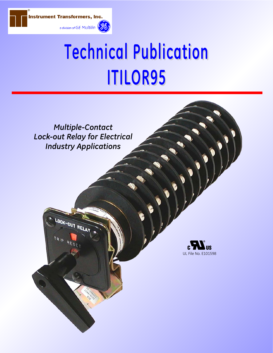

# **Technical Publication ITILOR95**

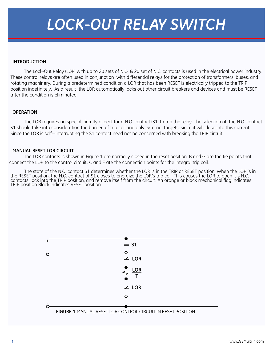# *LOCK-OUT RELAY SWITCH*

#### **INTRODUCTION**

The Lock-Out Relay (LOR) with up to 20 sets of N.O. & 20 set of N.C. contacts is used in the electrical power industry. These control relays are often used in conjunction with differential relays for the protection of transformers, buses, and rotating machinery. During a predetermined condition a LOR that has been RESET is electrically tripped to the TRIP position indefinitely. As a result, the LOR automatically locks out other circuit breakers and devices and must be RESET after the condition is eliminated.

#### **OPERATION**

The LOR requires no special circuity expect for a N.O. contact (S1) to trip the relay. The selection of the N.O. contact S1 should take into consideration the burden of trip coil and only external targets, since it will close into this current. Since the LOR is self—interrupting the S1 contact need not be concerned with breaking the TRIP circuit.

#### **MANUAL RESET LOR CIRCUIT**

The LOR contacts is shown in Figure 1 are normally closed in the reset position. B and G are the tie points that connect the LOR to the control circuit. C and F ate the connection points for the integral trip coil.

The state of the N.O. contact S1 determines whether the LOR is in the TRIP or RESET position. When the LOR is in<br>.the RESET position, the N.O. contact of S1 closes to energize the LOR's trip coil. This causes the LOR to op contacts, lock into the TRIP position, and remove itself from the circuit. An orange or black mechanical flag indicates TRIP position Black indicates RESET position.

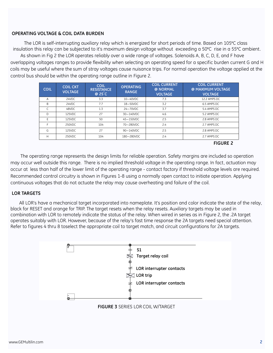#### **OPERATING VOLTAGE & COIL DATA BURDEN**

The LOR is self-interrupting auxiliary relay which is energized for short periods of time. Based on 105**<sup>o</sup>** C class insulation this relay can be subjected to it's maximum design voltage without exceeding a 50°C rise in a 55°C ambient. As shown in Fig 2 the LOR operates reliably over a wide range of voltages. Solenoids A, B, C, D, E, and F have overlapping voltages ranges to provide flexibility when selecting an operating speed for a specific burden current G and H coils may be useful where the sum of stray voltages cause nuisance trips. For normal operation the voltage applied at the control bus should be within the operating range outline in Figure 2.

| <b>COIL</b> | <b>COIL CKT</b><br><b>VOLTAGE</b> | <b>COIL</b><br><b>RESISTANCE</b><br>$@25^{\circ}C$ | <b>OPERATING</b><br><b>RANGE</b> | <b>COIL CURRENT</b><br>@ NORMAL<br><b>VOLTAGE</b> | <b>COIL CURRENT</b><br>@ MAXIMUM VOLTAGE<br><b>VOLTAGE</b> |
|-------------|-----------------------------------|----------------------------------------------------|----------------------------------|---------------------------------------------------|------------------------------------------------------------|
| A           | 24VDC                             | 3.3                                                | $10 - 40$ VDC                    | 7.3                                               | 12.2 AMPS DC                                               |
| B           | 24VDC                             | 7.7                                                | 18-50VDC                         | 3.2                                               | 6.5 AMPS DC                                                |
|             | 48VDC                             | 1.3                                                | 24-70VDC                         | 3.7                                               | 5.4 AMPS DC                                                |
| D           | 125VDC                            | 27                                                 | 30-140VDC                        | 4.6                                               | 5.2 AMPS DC                                                |
| E           | 125VDC                            | 50                                                 | 45-150VDC                        | 2.5                                               | 2.8 AMPS DC                                                |
| F           | 250VDC                            | 104                                                | 70-280VDC                        | 2.4                                               | 2.7 AMPS DC                                                |
| G           | 125VDC                            | 27                                                 | 90-140VDC                        | 2.5                                               | 2.8 AMPS DC                                                |
| H           | 250VDC                            | 104                                                | 180-280VDC                       | 2.4                                               | 2.7 AMPS DC                                                |

**FIGURE 2**

The operating range represents the design limits for reliable operation. Safety margins are included so operation may occur well outside this range. There is no implied threshold voltage in the operating range. In fact, actuation may occur at less than half of the lower limit of the operating range - contact factory if threshold voltage levels are required. Recommended control circuitry is shown in Figures 1-8 using a normally open contact to initiate operation. Applying continuous voltages that do not actuate the relay may cause overheating and failure of the coil.

#### **LOR TARGETS**

All LOR's have a mechanical target incorporated into nameplate. It's position and color indicate the state of the relay, black for RESET and orange for TRIP. The target resets when the relay resets. Auxiliary targets may be used in combination with LOR to remotely indicate the status of the relay. When wired in series as in Figure 2, the .2A target operates suitably with LOR. However, because of the relay's fast time response the 2A targets need special attention. Refer to figures 4 thru 8 toselect the appropriate coil to target match, and circuit configurations for 2A targets.



**FIGURE 3** SERIES LOR COIL W/TARGET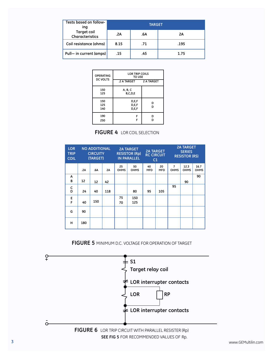| Tests based on follow-<br>ing         | <b>TARGET</b> |     |      |  |  |  |
|---------------------------------------|---------------|-----|------|--|--|--|
| <b>Target coil</b><br>Characteristics | .2A           | .6A | 2A   |  |  |  |
| Coil resistance (ohms)                | 8.15          | .71 | .195 |  |  |  |
| Pull- in current (amps)               | .15           | .45 | 1.75 |  |  |  |

| <b>OPERATING</b><br><b>DC VOLTS</b> | <b>LOR TRIP COILS</b><br><b>TO USE</b> |        |  |  |
|-------------------------------------|----------------------------------------|--------|--|--|
|                                     | 2 A TARGET 2 A TARGET                  |        |  |  |
| 150<br>125                          | A, B, C<br>B,C,D,E                     |        |  |  |
| 150<br>125<br>140                   | D,E,F<br>D.E.F<br>D,E,F                | D<br>D |  |  |
| 190<br>250                          | F<br>F                                 | D<br>n |  |  |

# **FIGURE 4** LOR COIL SELECTION

| <b>LOR</b><br><b>TRIP</b><br><b>COIL</b> | <b>NO ADDITIONAL</b><br><b>CIRCUITY</b><br>(TARGET) |     | <b>2A TARGET</b><br><b>RESISTOR (Rp)</b><br><b>IN PARALLEL</b> |                   | <b>2A TARGET</b><br><b>RC CIRCUIT</b><br>C1 |                  | <b>2A TARGET</b><br><b>SERIES</b><br><b>RESISTOR (RS)</b> |                               |                     |              |
|------------------------------------------|-----------------------------------------------------|-----|----------------------------------------------------------------|-------------------|---------------------------------------------|------------------|-----------------------------------------------------------|-------------------------------|---------------------|--------------|
|                                          | .2A                                                 | .6A | 2A                                                             | 25<br><b>OHMS</b> | 50<br><b>OHMS</b>                           | 40<br><b>MFD</b> | 20<br><b>MFD</b>                                          | $\overline{7}$<br><b>OHMS</b> | 12.3<br><b>OHMS</b> | 16.7<br>OHMS |
| Α<br>B                                   | 12                                                  | 12  | 42                                                             |                   |                                             |                  |                                                           |                               | 90                  | 90           |
| C<br>D                                   | 24                                                  | 40  | 118                                                            |                   | 80                                          | 95               | 105                                                       | 95                            |                     |              |
| E<br>F                                   | 40                                                  | 150 |                                                                | 75<br>70          | 150<br>125                                  |                  |                                                           |                               |                     |              |
| G                                        | 90                                                  |     |                                                                |                   |                                             |                  |                                                           |                               |                     |              |
| н                                        | 180                                                 |     |                                                                |                   |                                             |                  |                                                           |                               |                     |              |

### **FIGURE 5** MINIMUM D.C. VOLTAGE FOR OPERATION OF TARGET

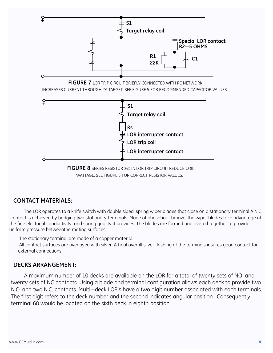

# **CONTACT MATERIALS:**

The LOR operates to a knife switch with double sided, spring wiper blades that close on a stationary terminal A.N.C. contact is achieved by bridging two stationary terminals. Made of phosphor—bronze, the wiper blades take advantage of the fine electrical conductivity and spring quality it provides. The blades are formed and riveted together to provide uniform pressure betweenthe mating surfaces.

The stationary terminal are made of a copper material.

All contact surfaces are overlayed with silver. A final overall silver flashing of the terminals insures good contact for external connections.

#### **DECKS ARRANGEMENT:**

A maximum number of 10 decks are available on the LOR for a total of twenty sets of NO and twenty sets of NC contacts. Using a blade and terminal configuration allows each deck to provide two N.O. and two N.C. contacts. Multi—deck LOR's have a two digit number associated with each terminals. The first digit refers to the deck number and the second indicates angular position . Consequently, terminal 68 would be located on the sixth deck in eighth position.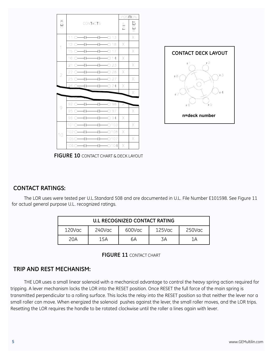



**FIGURE 10** CONTACT CHART & DECK LAYOUT

# **CONTACT RATINGS:**

The LOR uses were tested per U.L.Standard 508 and are documented in U.L. File Number E101598. See Figure 11 for actual general purpose U.L. recognized ratings.

|        |        | <b>U.L RECOGNIZED CONTACT RATING</b> |        |        |
|--------|--------|--------------------------------------|--------|--------|
| 120Vac | 240Vac | 600Vac                               | 125Vac | 250Vac |
| 20A    | 15A    | 6А                                   | 3A     | 1Α     |



# **TRIP AND REST MECHANISM:**

THE LOR uses a small linear solenoid with a mechanical advantage to control the heavy spring action required for tripping. A lever mechanism locks the LOR into the RESET position. Once RESET the full force of the main spring is transmitted perpendicular to a rolling surface. This locks the relay into the RESET position so that neither the lever nor a small roller can move. When energized the solenoid pushes against the lever, the small roller moves, and the LOR trips. Resetting the LOR requires the handle to be rotated clockwise until the roller a lines again with lever.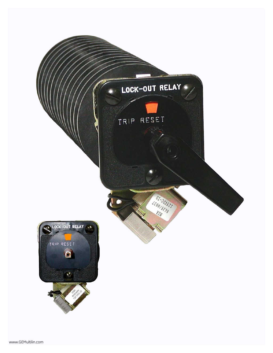